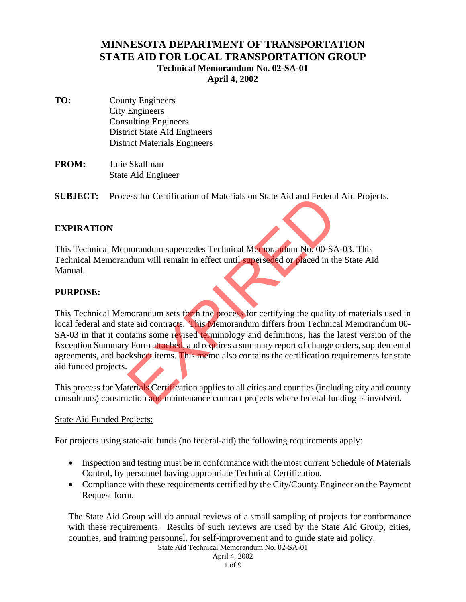# **MINNESOTA DEPARTMENT OF TRANSPORTATION STATE AID FOR LOCAL TRANSPORTATION GROUP Technical Memorandum No. 02-SA-01 April 4, 2002**

- **TO:** County Engineers City Engineers Consulting Engineers District State Aid Engineers District Materials Engineers
- **FROM:** Julie Skallman State Aid Engineer

**SUBJECT:** Process for Certification of Materials on State Aid and Federal Aid Projects.

# **EXPIRATION**

This Technical Memorandum supercedes Technical Memorandum No. 00-SA-03. This Technical Memorandum will remain in effect until superseded or placed in the State Aid Manual.

## **PURPOSE:**

This Technical Memorandum sets forth the process for certifying the quality of materials used in local federal and state aid contracts. This Memorandum differs from Technical Memorandum 00- SA-03 in that it contains some revised terminology and definitions, has the latest version of the Exception Summary Form attached, and requires a summary report of change orders, supplemental agreements, and backsheet items. This memo also contains the certification requirements for state aid funded projects. Experience of Materials on State Aid and Federal<br>norandum supercedes Technical Memorandum No. 00-SA<br>dum will remain in effect until superseded or placed in the<br>norandum sets forth the process for certifying the quality<br>te

This process for Materials Certification applies to all cities and counties (including city and county consultants) construction and maintenance contract projects where federal funding is involved.

#### State Aid Funded Projects:

For projects using state-aid funds (no federal-aid) the following requirements apply:

- Inspection and testing must be in conformance with the most current Schedule of Materials Control, by personnel having appropriate Technical Certification,
- Compliance with these requirements certified by the City/County Engineer on the Payment Request form.

The State Aid Group will do annual reviews of a small sampling of projects for conformance with these requirements. Results of such reviews are used by the State Aid Group, cities, counties, and training personnel, for self-improvement and to guide state aid policy.

State Aid Technical Memorandum No. 02-SA-01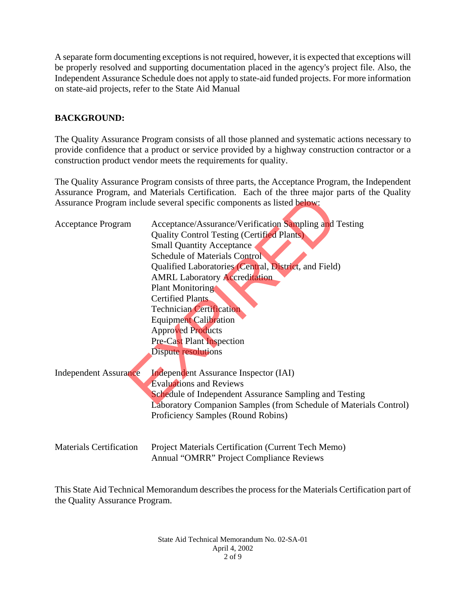A separate form documenting exceptions is not required, however, it is expected that exceptions will be properly resolved and supporting documentation placed in the agency's project file. Also, the Independent Assurance Schedule does not apply to state-aid funded projects. For more information on state-aid projects, refer to the State Aid Manual

# **BACKGROUND:**

The Quality Assurance Program consists of all those planned and systematic actions necessary to provide confidence that a product or service provided by a highway construction contractor or a construction product vendor meets the requirements for quality.

The Quality Assurance Program consists of three parts, the Acceptance Program, the Independent Assurance Program, and Materials Certification. Each of the three major parts of the Quality Assurance Program include several specific components as listed below:

|                                | roburunce rrogram, and matematic certification. Each of the three major parts of the<br>Assurance Program include several specific components as listed below:                                                                                                                                                                                                                                                                                                                                           |
|--------------------------------|----------------------------------------------------------------------------------------------------------------------------------------------------------------------------------------------------------------------------------------------------------------------------------------------------------------------------------------------------------------------------------------------------------------------------------------------------------------------------------------------------------|
| <b>Acceptance Program</b>      | Acceptance/Assurance/Verification Sampling and Testing<br><b>Quality Control Testing (Certified Plants)</b><br><b>Small Quantity Acceptance</b><br><b>Schedule of Materials Control</b><br>Qualified Laboratories (Central, District, and Field)<br><b>AMRL Laboratory Accreditation</b><br><b>Plant Monitoring</b><br><b>Certified Plants</b><br><b>Technician Certification</b><br><b>Equipment Calibration</b><br><b>Approved Products</b><br><b>Pre-Cast Plant Inspection</b><br>Dispute resolutions |
| <b>Independent Assurance</b>   | <b>Independent Assurance Inspector (IAI)</b><br><b>Evaluations and Reviews</b><br>Schedule of Independent Assurance Sampling and Testing<br>Laboratory Companion Samples (from Schedule of Materials Control)<br>Proficiency Samples (Round Robins)                                                                                                                                                                                                                                                      |
| <b>Materials Certification</b> | Project Materials Certification (Current Tech Memo)<br><b>Annual "OMRR" Project Compliance Reviews</b>                                                                                                                                                                                                                                                                                                                                                                                                   |

This State Aid Technical Memorandum describes the process for the Materials Certification part of the Quality Assurance Program.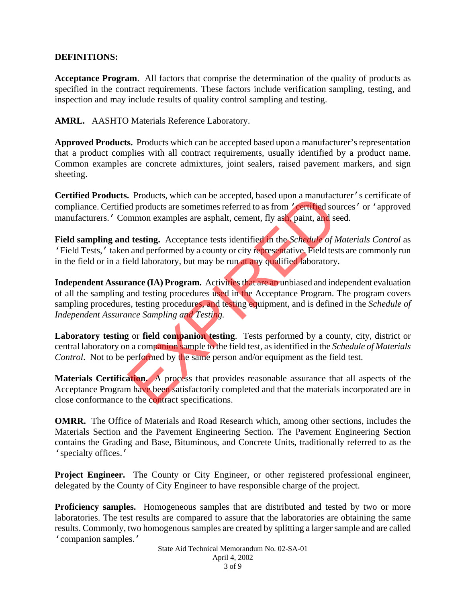#### **DEFINITIONS:**

**Acceptance Program**. All factors that comprise the determination of the quality of products as specified in the contract requirements. These factors include verification sampling, testing, and inspection and may include results of quality control sampling and testing.

**AMRL.** AASHTO Materials Reference Laboratory.

**Approved Products.** Products which can be accepted based upon a manufacturer's representation that a product complies with all contract requirements, usually identified by a product name. Common examples are concrete admixtures, joint sealers, raised pavement markers, and sign sheeting.

**Certified Products.** Products, which can be accepted, based upon a manufacturer's certificate of compliance. Certified products are sometimes referred to as from *'certified* sources' or 'approved manufacturers.' Common examples are asphalt, cement, fly ash, paint, and seed.

**Field sampling and testing.** Acceptance tests identified in the *Schedule of Materials Control* as 'Field Tests,' taken and performed by a county or city representative. Field tests are commonly run in the field or in a field laboratory, but may be run at any qualified laboratory.

**Independent Assurance (IA) Program.** Activities that are an unbiased and independent evaluation of all the sampling and testing procedures used in the Acceptance Program. The program covers sampling procedures, testing procedures, and testing equipment, and is defined in the *Schedule of Independent Assurance Sampling and Testing.* **Example 18** Froducts are sometimes referred to as from **Conduct** are sometimes referred to as from **Conductive Common examples** are asphalt, cement, fly ash, paint, and so mmon examples are asphalt, cement, fly ash, pain

**Laboratory testing** or **field companion testing**. Tests performed by a county, city, district or central laboratory on a companion sample to the field test, as identified in the *Schedule of Materials Control.* Not to be performed by the same person and/or equipment as the field test.

Materials Certification. A process that provides reasonable assurance that all aspects of the Acceptance Program have been satisfactorily completed and that the materials incorporated are in close conformance to the contract specifications.

**OMRR.** The Office of Materials and Road Research which, among other sections, includes the Materials Section and the Pavement Engineering Section. The Pavement Engineering Section contains the Grading and Base, Bituminous, and Concrete Units, traditionally referred to as the 'specialty offices.'

**Project Engineer.** The County or City Engineer, or other registered professional engineer, delegated by the County of City Engineer to have responsible charge of the project.

**Proficiency samples.** Homogeneous samples that are distributed and tested by two or more laboratories. The test results are compared to assure that the laboratories are obtaining the same results. Commonly, two homogenous samples are created by splitting a larger sample and are called 'companion samples.'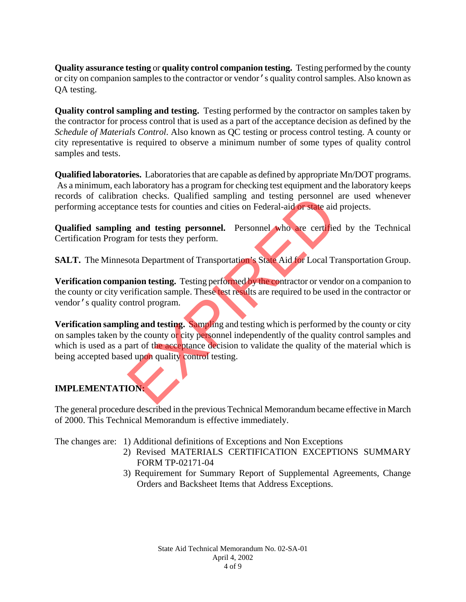**Quality assurance testing** or **quality control companion testing.** Testing performed by the county or city on companion samples to the contractor or vendor's quality control samples. Also known as QA testing.

**Quality control sampling and testing.** Testing performed by the contractor on samples taken by the contractor for process control that is used as a part of the acceptance decision as defined by the *Schedule of Materials Control*. Also known as QC testing or process control testing. A county or city representative is required to observe a minimum number of some types of quality control samples and tests.

**Qualified laboratories.** Laboratories that are capable as defined by appropriate Mn/DOT programs. As a minimum, each laboratory has a program for checking test equipment and the laboratory keeps records of calibration checks. Qualified sampling and testing personnel are used whenever performing acceptance tests for counties and cities on Federal-aid or state aid projects.

**Qualified sampling and testing personnel.** Personnel who are certified by the Technical Certification Program for tests they perform.

**SALT.** The Minnesota Department of Transportation's State Aid for Local Transportation Group.

**Verification companion testing.** Testing performed by the contractor or vendor on a companion to the county or city verification sample. These test results are required to be used in the contractor or vendor's quality control program.

**Verification sampling and testing.** Sampling and testing which is performed by the county or city on samples taken by the county or city personnel independently of the quality control samples and which is used as a part of the acceptance decision to validate the quality of the material which is being accepted based upon quality control testing. from checks. Qualitied sampling and testing personnel<br>not destis for counties and cities on Federal-aid or state aid<br>g and testing personnel. Personnel who are certified<br>in for tests they perform.<br>Nota Department of Transp

# **IMPLEMENTATION:**

The general procedure described in the previous Technical Memorandum became effective in March of 2000. This Technical Memorandum is effective immediately.

The changes are: 1) Additional definitions of Exceptions and Non Exceptions

- 2) Revised MATERIALS CERTIFICATION EXCEPTIONS SUMMARY FORM TP-02171-04
- 3) Requirement for Summary Report of Supplemental Agreements, Change Orders and Backsheet Items that Address Exceptions.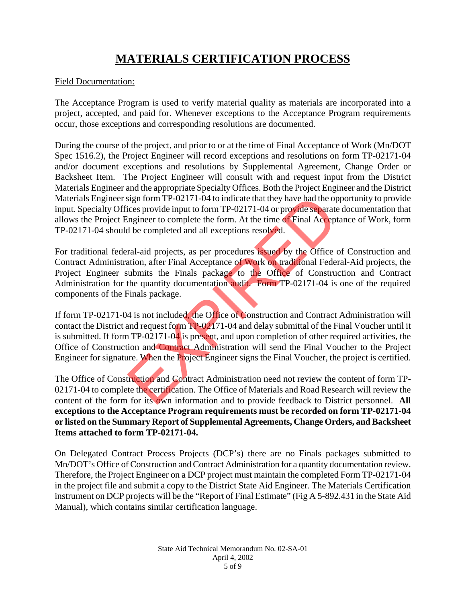# **MATERIALS CERTIFICATION PROCESS**

#### Field Documentation:

The Acceptance Program is used to verify material quality as materials are incorporated into a project, accepted, and paid for. Whenever exceptions to the Acceptance Program requirements occur, those exceptions and corresponding resolutions are documented.

During the course of the project, and prior to or at the time of Final Acceptance of Work (Mn/DOT Spec 1516.2), the Project Engineer will record exceptions and resolutions on form TP-02171-04 and/or document exceptions and resolutions by Supplemental Agreement, Change Order or Backsheet Item. The Project Engineer will consult with and request input from the District Materials Engineer and the appropriate Specialty Offices. Both the Project Engineer and the District Materials Engineer sign form TP-02171-04 to indicate that they have had the opportunity to provide input. Specialty Offices provide input to form TP-02171-04 or provide separate documentation that allows the Project Engineer to complete the form. At the time of Final Acceptance of Work, form TP-02171-04 should be completed and all exceptions resolved.

For traditional federal-aid projects, as per procedures issued by the Office of Construction and Contract Administration, after Final Acceptance of Work on traditional Federal-Aid projects, the Project Engineer submits the Finals package to the Office of Construction and Contract Administration for the quantity documentation audit. Form TP-02171-04 is one of the required components of the Finals package.

If form TP-02171-04 is not included, the Office of Construction and Contract Administration will contact the District and request form TP-02171-04 and delay submittal of the Final Voucher until it is submitted. If form TP-02171-04 is present, and upon completion of other required activities, the Office of Construction and Contract Administration will send the Final Voucher to the Project Engineer for signature. When the Project Engineer signs the Final Voucher, the project is certified. sign form TP-02171-04 to indicate that they have had the optices provide input to form TP-02171-04 or provide separate ingineer to complete the form. At the time of Final Accept<br>also expanded the completed and all exceptio

The Office of Construction and Contract Administration need not review the content of form TP-02171-04 to complete the certification. The Office of Materials and Road Research will review the content of the form for its own information and to provide feedback to District personnel. **All exceptions to the Acceptance Program requirements must be recorded on form TP-02171-04 or listed on the Summary Report of Supplemental Agreements, Change Orders, and Backsheet Items attached to form TP-02171-04.**

On Delegated Contract Process Projects (DCP's) there are no Finals packages submitted to Mn/DOT's Office of Construction and Contract Administration for a quantity documentation review. Therefore, the Project Engineer on a DCP project must maintain the completed Form TP-02171-04 in the project file and submit a copy to the District State Aid Engineer. The Materials Certification instrument on DCP projects will be the "Report of Final Estimate" (Fig A 5-892.431 in the State Aid Manual), which contains similar certification language.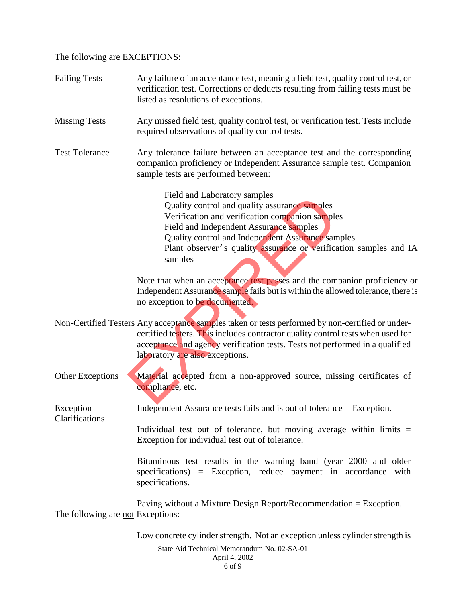The following are EXCEPTIONS:

| <b>Failing Tests</b>                     | Any failure of an acceptance test, meaning a field test, quality control test, or<br>verification test. Corrections or deducts resulting from failing tests must be<br>listed as resolutions of exceptions.                                                                                                      |
|------------------------------------------|------------------------------------------------------------------------------------------------------------------------------------------------------------------------------------------------------------------------------------------------------------------------------------------------------------------|
| <b>Missing Tests</b>                     | Any missed field test, quality control test, or verification test. Tests include<br>required observations of quality control tests.                                                                                                                                                                              |
| <b>Test Tolerance</b>                    | Any tolerance failure between an acceptance test and the corresponding<br>companion proficiency or Independent Assurance sample test. Companion<br>sample tests are performed between:                                                                                                                           |
|                                          | Field and Laboratory samples<br>Quality control and quality assurance samples<br>Verification and verification companion samples<br>Field and Independent Assurance samples<br>Quality control and Independent Assurance samples<br>Plant observer's quality assurance or verification samples and IA<br>samples |
|                                          | Note that when an acceptance test passes and the companion proficiency or<br>Independent Assurance sample fails but is within the allowed tolerance, there is<br>no exception to be documented.                                                                                                                  |
|                                          | Non-Certified Testers Any acceptance samples taken or tests performed by non-certified or under-<br>certified testers. This includes contractor quality control tests when used for<br>acceptance and agency verification tests. Tests not performed in a qualified<br>laboratory are also exceptions.           |
| Other Exceptions                         | Material accepted from a non-approved source, missing certificates of<br>compliance, etc.                                                                                                                                                                                                                        |
| Exception<br>Clarifications              | Independent Assurance tests fails and is out of tolerance $=$ Exception.                                                                                                                                                                                                                                         |
|                                          | Individual test out of tolerance, but moving average within limits $=$<br>Exception for individual test out of tolerance.                                                                                                                                                                                        |
|                                          | Bituminous test results in the warning band (year 2000 and older<br>specifications) = Exception, reduce payment in accordance with<br>specifications.                                                                                                                                                            |
| The following are <u>not</u> Exceptions: | Paving without a Mixture Design Report/Recommendation $=$ Exception.                                                                                                                                                                                                                                             |
|                                          | Low concrete cylinder strength. Not an exception unless cylinder strength is<br>State Aid Technical Memorandum No. 02-SA-01                                                                                                                                                                                      |

April 4, 2002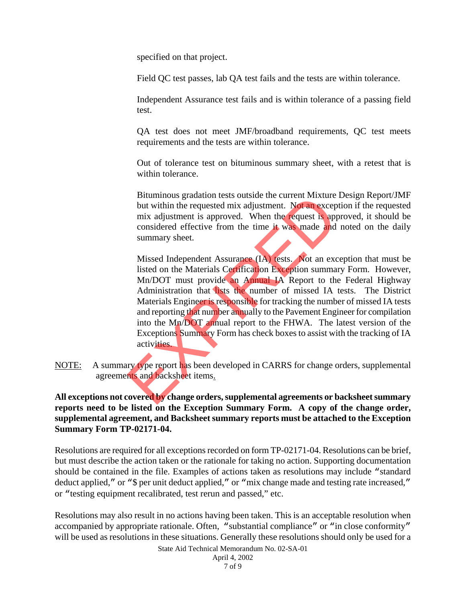specified on that project.

Field QC test passes, lab QA test fails and the tests are within tolerance.

 Independent Assurance test fails and is within tolerance of a passing field test.

 QA test does not meet JMF/broadband requirements, QC test meets requirements and the tests are within tolerance.

 Out of tolerance test on bituminous summary sheet, with a retest that is within tolerance.

 Bituminous gradation tests outside the current Mixture Design Report/JMF but within the requested mix adjustment. Not an exception if the requested mix adjustment is approved. When the request is approved, it should be considered effective from the time it was made and noted on the daily summary sheet.

 Missed Independent Assurance (IA) tests. Not an exception that must be listed on the Materials Certification Exception summary Form. However, Mn/DOT must provide an Annual IA Report to the Federal Highway Administration that lists the number of missed IA tests. The District Materials Engineer is responsible for tracking the number of missed IA tests and reporting that number annually to the Pavement Engineer for compilation into the Mn/DOT annual report to the FHWA. The latest version of the Exceptions Summary Form has check boxes to assist with the tracking of IA activities. Bituminous gradation tests outside the current Mixture<br>but within the requested mix adjustment. Not an excep<br>mix adjustment is approved. When the request is app<br>considered effective from the time it was made and<br>summary sh

NOTE: A summary type report has been developed in CARRS for change orders, supplemental agreements and backsheet items.

**All exceptions not covered by change orders, supplemental agreements or backsheet summary reports need to be listed on the Exception Summary Form. A copy of the change order, supplemental agreement, and Backsheet summary reports must be attached to the Exception Summary Form TP-02171-04.** 

Resolutions are required for all exceptions recorded on form TP-02171-04. Resolutions can be brief, but must describe the action taken or the rationale for taking no action. Supporting documentation should be contained in the file. Examples of actions taken as resolutions may include "standard deduct applied," or "\$ per unit deduct applied," or "mix change made and testing rate increased," or "testing equipment recalibrated, test rerun and passed," etc.

Resolutions may also result in no actions having been taken. This is an acceptable resolution when accompanied by appropriate rationale. Often, "substantial compliance" or "in close conformity" will be used as resolutions in these situations. Generally these resolutions should only be used for a

State Aid Technical Memorandum No. 02-SA-01

April 4, 2002 7 of 9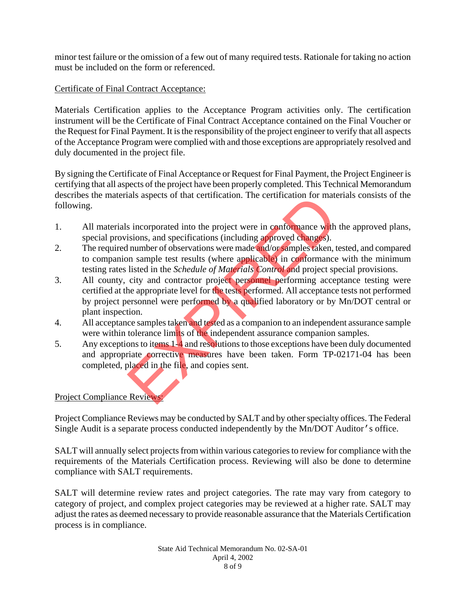minor test failure or the omission of a few out of many required tests. Rationale for taking no action must be included on the form or referenced.

### Certificate of Final Contract Acceptance:

Materials Certification applies to the Acceptance Program activities only. The certification instrument will be the Certificate of Final Contract Acceptance contained on the Final Voucher or the Request for Final Payment. It is the responsibility of the project engineer to verify that all aspects of the Acceptance Program were complied with and those exceptions are appropriately resolved and duly documented in the project file.

By signing the Certificate of Final Acceptance or Request for Final Payment, the Project Engineer is certifying that all aspects of the project have been properly completed. This Technical Memorandum describes the materials aspects of that certification. The certification for materials consists of the following.

- 1. All materials incorporated into the project were in conformance with the approved plans, special provisions, and specifications (including approved changes).
- 2. The required number of observations were made and/or samples taken, tested, and compared to companion sample test results (where applicable) in conformance with the minimum testing rates listed in the *Schedule of Materials Control* and project special provisions.
- 3. All county, city and contractor project personnel performing acceptance testing were certified at the appropriate level for the tests performed. All acceptance tests not performed by project personnel were performed by a qualified laboratory or by Mn/DOT central or plant inspection. also assess or that certification. The certification for mate<br>sincorporated into the project were in conformance with<br>isions, and specifications (including approved changes).<br>I number of observations were made and/or sampl
- 4. All acceptance samples taken and tested as a companion to an independent assurance sample were within tolerance limits of the independent assurance companion samples.
- 5. Any exceptions to items 1-4 and resolutions to those exceptions have been duly documented and appropriate corrective measures have been taken. Form TP-02171-04 has been completed, placed in the file, and copies sent.

#### Project Compliance Reviews:

Project Compliance Reviews may be conducted by SALT and by other specialty offices. The Federal Single Audit is a separate process conducted independently by the Mn/DOT Auditor's office.

SALT will annually select projects from within various categories to review for compliance with the requirements of the Materials Certification process. Reviewing will also be done to determine compliance with SALT requirements.

SALT will determine review rates and project categories. The rate may vary from category to category of project, and complex project categories may be reviewed at a higher rate. SALT may adjust the rates as deemed necessary to provide reasonable assurance that the Materials Certification process is in compliance.